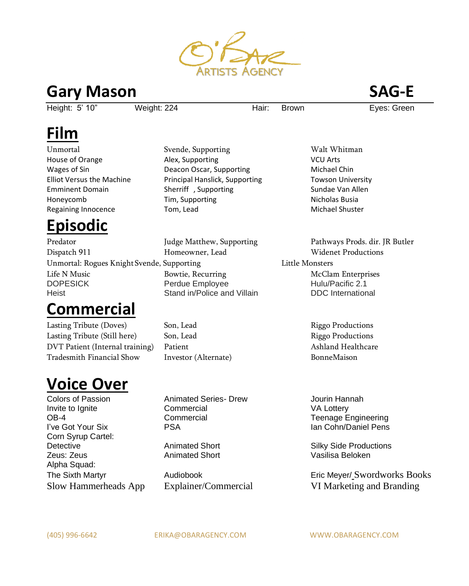

#### **Gary Mason SAG-E**

Height: 5' 10" Weight: 224 Hair: Brown Eves: Green

# **Film**

Unmortal Svende, Supporting Walt Whitman Regaining Innocence Tom, Lead **Michael Shuster** Michael Shuster

# **Episodic**

Predator The Judge Matthew, Supporting Pathways Prods. dir. JR Butler Dispatch 911 Homeowner, Lead Widenet Productions Unmortal: Rogues Knight Svende, Supporting The Little Monsters Life N Music **Bowtie, Recurring Community Community** McClam Enterprises DOPESICK **Perdue Employee Hulu/Pacific 2.1** Heist Stand in/Police and Villain DDC International

## **Commercial**

Lasting Tribute (Doves) Son, Lead Riggo Productions Lasting Tribute (Still here) Son, Lead Riggo Productions DVT Patient (Internal training) Patient Ashland Healthcare Ashland Healthcare Tradesmith Financial Show Investor (Alternate) BonneMaison

## **Voice Over**

Colors of Passion Animated Series- Drew Jourin Hannah Invite to Ignite Commercial VA Lottery OB-4 Commercial Teenage Engineering I've Got Your Six **Ian Cohney The State Pension Collection** Pension Cohney Ian Cohn/Daniel Pens Corn Syrup Cartel: Detective **Animated Short** Animated Short Silky Side Productions Zeus: Zeus Animated Short Vasilisa Beloken Alpha Squad:

House of Orange Alex, Supporting VCU Arts Wages of Sin **Nichael Chin** Deacon Oscar, Supporting **Michael Chin** Elliot Versus the Machine Principal Hanslick, Supporting Towson University Emminent Domain **Sherriff** , Supporting Sundae Van Allen Honeycomb Tim, Supporting The Nicholas Busia

The Sixth Martyr Audiobook Eric Meyer/ Swordworks Books Slow Hammerheads App Explainer/Commercial VI Marketing and Branding

(405) 996-6642 ERIKA@OBARAGENCY.COM WWW.OBARAGENCY.COM